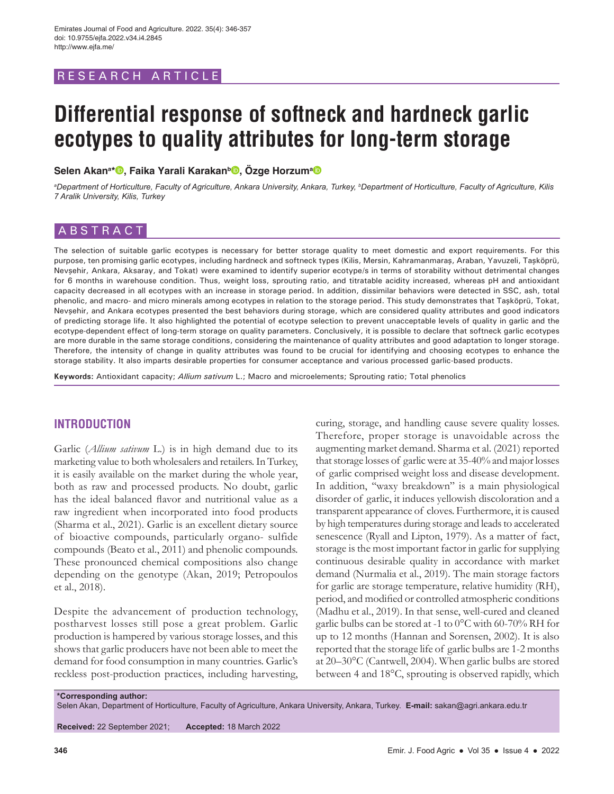# RESEARCH ARTICLE

# **Differential response of softneck and hardneck garlic ecotypes to quality attributes for long-term storage**

**Selen Akana \* , Faika Yarali Karakanb , Özge Horzuma**

*a Department of Horticulture, Faculty of Agriculture, Ankara University, Ankara, Turkey, b Department of Horticulture, Faculty of Agriculture, Kilis 7 Aralik University, Kilis, Turkey*

# ABSTRACT

The selection of suitable garlic ecotypes is necessary for better storage quality to meet domestic and export requirements. For this purpose, ten promising garlic ecotypes, including hardneck and softneck types (Kilis, Mersin, Kahramanmaraş, Araban, Yavuzeli, Taşköprü, Nevşehir, Ankara, Aksaray, and Tokat) were examined to identify superior ecotype/s in terms of storability without detrimental changes for 6 months in warehouse condition. Thus, weight loss, sprouting ratio, and titratable acidity increased, whereas pH and antioxidant capacity decreased in all ecotypes with an increase in storage period. In addition, dissimilar behaviors were detected in SSC, ash, total phenolic, and macro- and micro minerals among ecotypes in relation to the storage period. This study demonstrates that Taşköprü, Tokat, Nevşehir, and Ankara ecotypes presented the best behaviors during storage, which are considered quality attributes and good indicators of predicting storage life. It also highlighted the potential of ecotype selection to prevent unacceptable levels of quality in garlic and the ecotype-dependent effect of long-term storage on quality parameters. Conclusively, it is possible to declare that softneck garlic ecotypes are more durable in the same storage conditions, considering the maintenance of quality attributes and good adaptation to longer storage. Therefore, the intensity of change in quality attributes was found to be crucial for identifying and choosing ecotypes to enhance the storage stability. It also imparts desirable properties for consumer acceptance and various processed garlic-based products.

**Keywords:** Antioxidant capacity; *Allium sativum* L.; Macro and microelements; Sprouting ratio; Total phenolics

# **INTRODUCTION**

Garlic (*Allium sativum* L.) is in high demand due to its marketing value to both wholesalers and retailers. In Turkey, it is easily available on the market during the whole year, both as raw and processed products. No doubt, garlic has the ideal balanced flavor and nutritional value as a raw ingredient when incorporated into food products (Sharma et al., 2021). Garlic is an excellent dietary source of bioactive compounds, particularly organo- sulfide compounds (Beato et al., 2011) and phenolic compounds. These pronounced chemical compositions also change depending on the genotype (Akan, 2019; Petropoulos et al., 2018).

Despite the advancement of production technology, postharvest losses still pose a great problem. Garlic production is hampered by various storage losses, and this shows that garlic producers have not been able to meet the demand for food consumption in many countries. Garlic's reckless post-production practices, including harvesting,

curing, storage, and handling cause severe quality losses. Therefore, proper storage is unavoidable across the augmenting market demand. Sharma et al. (2021) reported that storage losses of garlic were at 35-40% and major losses of garlic comprised weight loss and disease development. In addition, "waxy breakdown" is a main physiological disorder of garlic, it induces yellowish discoloration and a transparent appearance of cloves. Furthermore, it is caused by high temperatures during storage and leads to accelerated senescence (Ryall and Lipton, 1979). As a matter of fact, storage is the most important factor in garlic for supplying continuous desirable quality in accordance with market demand (Nurmalia et al., 2019). The main storage factors for garlic are storage temperature, relative humidity (RH), period, and modified or controlled atmospheric conditions (Madhu et al., 2019). In that sense, well-cured and cleaned garlic bulbs can be stored at -1 to 0°C with 60-70% RH for up to 12 months (Hannan and Sorensen, 2002). It is also reported that the storage life of garlic bulbs are 1-2 months at 20–30°C (Cantwell, 2004). When garlic bulbs are stored between 4 and 18°C, sprouting is observed rapidly, which

**\*Corresponding author:**

Selen Akan, Department of Horticulture, Faculty of Agriculture, Ankara University, Ankara, Turkey. **E-mail:** sakan@agri.ankara.edu.tr

**Received:** 22 September 2021; **Accepted:** 18 March 2022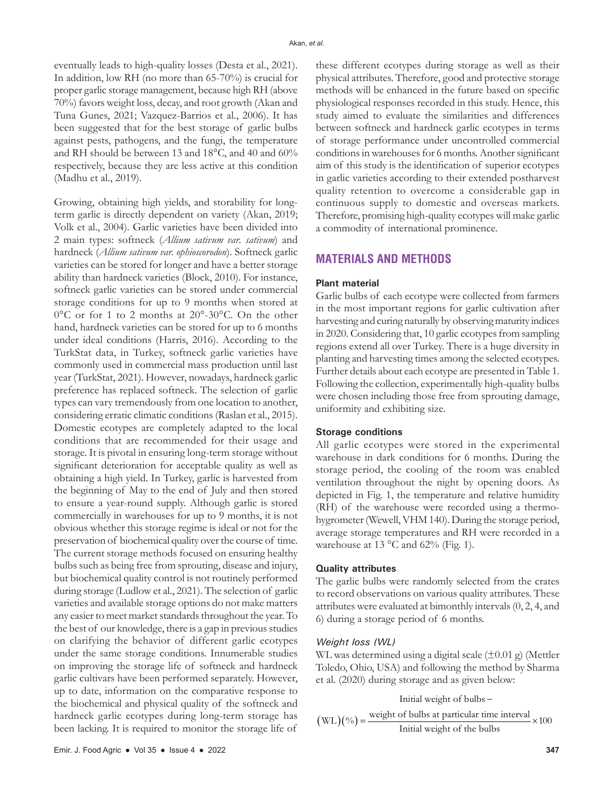eventually leads to high-quality losses (Desta et al., 2021). In addition, low RH (no more than 65-70%) is crucial for proper garlic storage management, because high RH (above 70%) favors weight loss, decay, and root growth (Akan and Tuna Gunes, 2021; Vazquez-Barrios et al., 2006). It has been suggested that for the best storage of garlic bulbs against pests, pathogens, and the fungi, the temperature and RH should be between 13 and 18°C, and 40 and 60% respectively, because they are less active at this condition (Madhu et al., 2019).

Growing, obtaining high yields, and storability for longterm garlic is directly dependent on variety (Akan, 2019; Volk et al., 2004). Garlic varieties have been divided into 2 main types: softneck (*Allium sativum var. sativum*) and hardneck (*Allium sativum var. ophioscorodon*). Softneck garlic varieties can be stored for longer and have a better storage ability than hardneck varieties (Block, 2010). For instance, softneck garlic varieties can be stored under commercial storage conditions for up to 9 months when stored at 0°C or for 1 to 2 months at 20°-30°C. On the other hand, hardneck varieties can be stored for up to 6 months under ideal conditions (Harris, 2016). According to the TurkStat data, in Turkey, softneck garlic varieties have commonly used in commercial mass production until last year (TurkStat, 2021). However, nowadays, hardneck garlic preference has replaced softneck. The selection of garlic types can vary tremendously from one location to another, considering erratic climatic conditions (Raslan et al., 2015). Domestic ecotypes are completely adapted to the local conditions that are recommended for their usage and storage. It is pivotal in ensuring long-term storage without significant deterioration for acceptable quality as well as obtaining a high yield. In Turkey, garlic is harvested from the beginning of May to the end of July and then stored to ensure a year-round supply. Although garlic is stored commercially in warehouses for up to 9 months, it is not obvious whether this storage regime is ideal or not for the preservation of biochemical quality over the course of time. The current storage methods focused on ensuring healthy bulbs such as being free from sprouting, disease and injury, but biochemical quality control is not routinely performed during storage (Ludlow et al., 2021). The selection of garlic varieties and available storage options do not make matters any easier to meet market standards throughout the year. To the best of our knowledge, there is a gap in previous studies on clarifying the behavior of different garlic ecotypes under the same storage conditions. Innumerable studies on improving the storage life of softneck and hardneck garlic cultivars have been performed separately. However, up to date, information on the comparative response to the biochemical and physical quality of the softneck and hardneck garlic ecotypes during long-term storage has been lacking. It is required to monitor the storage life of

these different ecotypes during storage as well as their physical attributes. Therefore, good and protective storage methods will be enhanced in the future based on specific physiological responses recorded in this study. Hence, this study aimed to evaluate the similarities and differences between softneck and hardneck garlic ecotypes in terms of storage performance under uncontrolled commercial conditions in warehouses for 6 months. Another significant aim of this study is the identification of superior ecotypes in garlic varieties according to their extended postharvest quality retention to overcome a considerable gap in continuous supply to domestic and overseas markets. Therefore, promising high-quality ecotypes will make garlic a commodity of international prominence.

# **MATERIALS AND METHODS**

#### **Plant material**

Garlic bulbs of each ecotype were collected from farmers in the most important regions for garlic cultivation after harvesting and curing naturally by observing maturity indices in 2020. Considering that, 10 garlic ecotypes from sampling regions extend all over Turkey. There is a huge diversity in planting and harvesting times among the selected ecotypes. Further details about each ecotype are presented in Table 1. Following the collection, experimentally high-quality bulbs were chosen including those free from sprouting damage, uniformity and exhibiting size.

#### **Storage conditions**

All garlic ecotypes were stored in the experimental warehouse in dark conditions for 6 months. During the storage period, the cooling of the room was enabled ventilation throughout the night by opening doors. As depicted in Fig. 1, the temperature and relative humidity (RH) of the warehouse were recorded using a thermohygrometer (Wewell, VHM 140). During the storage period, average storage temperatures and RH were recorded in a warehouse at 13  $^{\circ}$ C and 62% (Fig. 1).

#### **Quality attributes**

The garlic bulbs were randomly selected from the crates to record observations on various quality attributes. These attributes were evaluated at bimonthly intervals (0, 2, 4, and 6) during a storage period of 6 months.

#### *Weight loss (WL)*

WL was determined using a digital scale  $(\pm 0.01 \text{ g})$  (Mettler Toledo, Ohio, USA) and following the method by Sharma et al. (2020) during storage and as given below:

( )( ) Initial weight of bulbs weight of bulbs at particular time interval WL % 100 Initial weight of the bulbs − = ×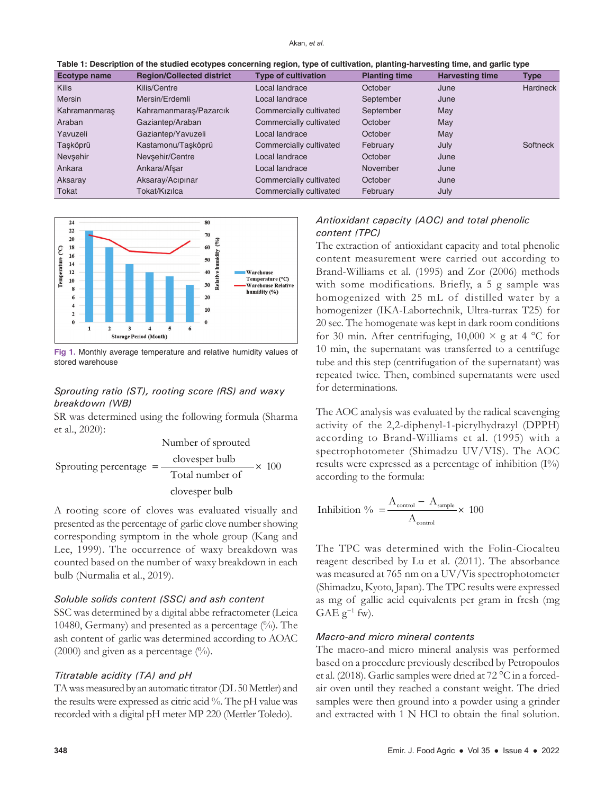| Table 1: Description of the studied ecotypes concerning region, type of cultivation, planting-harvesting time, and garlic type |  |  |
|--------------------------------------------------------------------------------------------------------------------------------|--|--|
|--------------------------------------------------------------------------------------------------------------------------------|--|--|

| Ecotype name  | <b>Region/Collected district</b> | <b>Type of cultivation</b> | <b>Planting time</b> | . .<br><b>Harvesting time</b> | Type            |
|---------------|----------------------------------|----------------------------|----------------------|-------------------------------|-----------------|
| <b>Kilis</b>  | Kilis/Centre                     | Local landrace             | October              | June                          | <b>Hardneck</b> |
| <b>Mersin</b> | Mersin/Erdemli                   | Local landrace             | September            | June                          |                 |
| Kahramanmaraş | Kahramanmaraş/Pazarcık           | Commercially cultivated    | September            | May                           |                 |
| Araban        | Gaziantep/Araban                 | Commercially cultivated    | October              | May                           |                 |
| Yavuzeli      | Gaziantep/Yavuzeli               | Local landrace             | October              | May                           |                 |
| Taşköprü      | Kastamonu/Tasköprü               | Commercially cultivated    | February             | July                          | <b>Softneck</b> |
| Nevsehir      | Nevsehir/Centre                  | Local landrace             | October              | June                          |                 |
| Ankara        | Ankara/Afsar                     | Local landrace             | November             | June                          |                 |
| Aksaray       | Aksaray/Acipinar                 | Commercially cultivated    | October              | June                          |                 |
| Tokat         | Tokat/Kızılca                    | Commercially cultivated    | February             | July                          |                 |



**Fig 1.** Monthly average temperature and relative humidity values of stored warehouse

## *Sprouting ratio (ST), rooting score (RS) and waxy breakdown (WB)*

SR was determined using the following formula (Sharma et al., 2020):

Number of sproved  
Sproutine percentage = 
$$
\frac{\text{clovesper bulb}}{\text{Total number of}}
$$
  $\times$  100  
clovesper bulb

A rooting score of cloves was evaluated visually and presented as the percentage of garlic clove number showing corresponding symptom in the whole group (Kang and Lee, 1999). The occurrence of waxy breakdown was counted based on the number of waxy breakdown in each bulb (Nurmalia et al., 2019).

## *Soluble solids content (SSC) and ash content*

SSC was determined by a digital abbe refractometer (Leica 10480, Germany) and presented as a percentage (%). The ash content of garlic was determined according to AOAC (2000) and given as a percentage  $(\%).$ 

#### *Titratable acidity (TA) and pH*

TA was measured by an automatic titrator (DL 50 Mettler) and the results were expressed as citric acid %. The pH value was recorded with a digital pH meter MP 220 (Mettler Toledo).

# *Antioxidant capacity (AOC) and total phenolic content (TPC)*

The extraction of antioxidant capacity and total phenolic content measurement were carried out according to Brand-Williams et al. (1995) and Zor (2006) methods with some modifications. Briefly, a 5 g sample was homogenized with 25 mL of distilled water by a homogenizer (IKA-Labortechnik, Ultra-turrax T25) for 20 sec. The homogenate was kept in dark room conditions for 30 min. After centrifuging,  $10,000 \times g$  at 4 °C for 10 min, the supernatant was transferred to a centrifuge tube and this step (centrifugation of the supernatant) was repeated twice. Then, combined supernatants were used for determinations.

The AOC analysis was evaluated by the radical scavenging activity of the 2,2-diphenyl-1-picrylhydrazyl (DPPH) according to Brand-Williams et al. (1995) with a spectrophotometer (Shimadzu UV/VIS). The AOC results were expressed as a percentage of inhibition (I%) according to the formula:

$$
Inhibition \text{ }\% = \frac{A_{\text{control}} - A_{\text{sample}}}{A_{\text{control}}} \times 100
$$

The TPC was determined with the Folin-Ciocalteu reagent described by Lu et al. (2011). The absorbance was measured at 765 nm on a UV/Vis spectrophotometer (Shimadzu, Kyoto, Japan). The TPC results were expressed as mg of gallic acid equivalents per gram in fresh (mg GAE  $g^{-1}$  fw).

## *Macro-and micro mineral contents*

The macro-and micro mineral analysis was performed based on a procedure previously described by Petropoulos et al. (2018). Garlic samples were dried at 72 °C in a forcedair oven until they reached a constant weight. The dried samples were then ground into a powder using a grinder and extracted with 1 N HCl to obtain the final solution.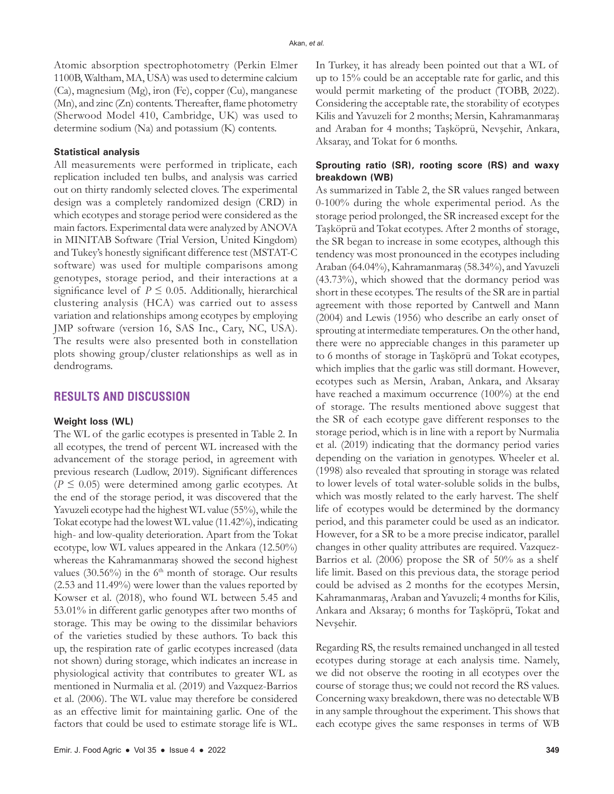Atomic absorption spectrophotometry (Perkin Elmer 1100B, Waltham, MA, USA) was used to determine calcium (Ca), magnesium (Mg), iron (Fe), copper (Cu), manganese (Mn), and zinc (Zn) contents. Thereafter, flame photometry (Sherwood Model 410, Cambridge, UK) was used to determine sodium (Na) and potassium (K) contents.

#### **Statistical analysis**

All measurements were performed in triplicate, each replication included ten bulbs, and analysis was carried out on thirty randomly selected cloves. The experimental design was a completely randomized design (CRD) in which ecotypes and storage period were considered as the main factors. Experimental data were analyzed by ANOVA in MINITAB Software (Trial Version, United Kingdom) and Tukey's honestly significant difference test (MSTAT-C software) was used for multiple comparisons among genotypes, storage period, and their interactions at a significance level of  $P \leq 0.05$ . Additionally, hierarchical clustering analysis (HCA) was carried out to assess variation and relationships among ecotypes by employing JMP software (version 16, SAS Inc., Cary, NC, USA). The results were also presented both in constellation plots showing group/cluster relationships as well as in dendrograms.

# **RESULTS AND DISCUSSION**

#### **Weight loss (WL)**

The WL of the garlic ecotypes is presented in Table 2. In all ecotypes, the trend of percent WL increased with the advancement of the storage period, in agreement with previous research (Ludlow, 2019). Significant differences  $(P \le 0.05)$  were determined among garlic ecotypes. At the end of the storage period, it was discovered that the Yavuzeli ecotype had the highest WL value (55%), while the Tokat ecotype had the lowest WL value (11.42%), indicating high- and low-quality deterioration. Apart from the Tokat ecotype, low WL values appeared in the Ankara (12.50%) whereas the Kahramanmaraş showed the second highest values  $(30.56\%)$  in the 6<sup>th</sup> month of storage. Our results (2.53 and 11.49%) were lower than the values reported by Kowser et al. (2018), who found WL between 5.45 and 53.01% in different garlic genotypes after two months of storage. This may be owing to the dissimilar behaviors of the varieties studied by these authors. To back this up, the respiration rate of garlic ecotypes increased (data not shown) during storage, which indicates an increase in physiological activity that contributes to greater WL as mentioned in Nurmalia et al. (2019) and Vazquez-Barrios et al. (2006). The WL value may therefore be considered as an effective limit for maintaining garlic. One of the factors that could be used to estimate storage life is WL. In Turkey, it has already been pointed out that a WL of up to 15% could be an acceptable rate for garlic, and this would permit marketing of the product (TOBB, 2022). Considering the acceptable rate, the storability of ecotypes Kilis and Yavuzeli for 2 months; Mersin, Kahramanmaraş and Araban for 4 months; Taşköprü, Nevşehir, Ankara, Aksaray, and Tokat for 6 months.

## **Sprouting ratio (SR), rooting score (RS) and waxy breakdown (WB)**

As summarized in Table 2, the SR values ranged between 0-100% during the whole experimental period. As the storage period prolonged, the SR increased except for the Taşköprü and Tokat ecotypes. After 2 months of storage, the SR began to increase in some ecotypes, although this tendency was most pronounced in the ecotypes including Araban (64.04%), Kahramanmaraş (58.34%), and Yavuzeli (43.73%), which showed that the dormancy period was short in these ecotypes. The results of the SR are in partial agreement with those reported by Cantwell and Mann (2004) and Lewis (1956) who describe an early onset of sprouting at intermediate temperatures. On the other hand, there were no appreciable changes in this parameter up to 6 months of storage in Taşköprü and Tokat ecotypes, which implies that the garlic was still dormant. However, ecotypes such as Mersin, Araban, Ankara, and Aksaray have reached a maximum occurrence (100%) at the end of storage. The results mentioned above suggest that the SR of each ecotype gave different responses to the storage period, which is in line with a report by Nurmalia et al. (2019) indicating that the dormancy period varies depending on the variation in genotypes. Wheeler et al. (1998) also revealed that sprouting in storage was related to lower levels of total water-soluble solids in the bulbs, which was mostly related to the early harvest. The shelf life of ecotypes would be determined by the dormancy period, and this parameter could be used as an indicator. However, for a SR to be a more precise indicator, parallel changes in other quality attributes are required. Vazquez-Barrios et al. (2006) propose the SR of 50% as a shelf life limit. Based on this previous data, the storage period could be advised as 2 months for the ecotypes Mersin, Kahramanmaraş, Araban and Yavuzeli; 4 months for Kilis, Ankara and Aksaray; 6 months for Taşköprü, Tokat and Nevşehir.

Regarding RS, the results remained unchanged in all tested ecotypes during storage at each analysis time. Namely, we did not observe the rooting in all ecotypes over the course of storage thus; we could not record the RS values. Concerning waxy breakdown, there was no detectable WB in any sample throughout the experiment. This shows that each ecotype gives the same responses in terms of WB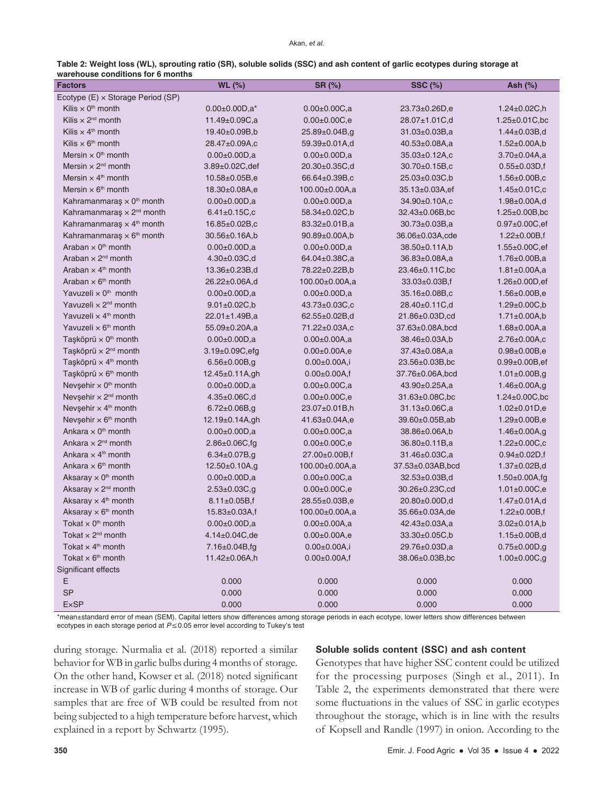| Table 2: Weight loss (WL), sprouting ratio (SR), soluble solids (SSC) and ash content of garlic ecotypes during storage at |  |
|----------------------------------------------------------------------------------------------------------------------------|--|
| warehouse conditions for 6 months                                                                                          |  |

| <b>Factors</b>                               | <b>WL (%)</b>          | SR (%)               | <b>SSC (%)</b>                  | Ash (%)                |
|----------------------------------------------|------------------------|----------------------|---------------------------------|------------------------|
| Ecotype (E) x Storage Period (SP)            |                        |                      |                                 |                        |
| Kilis $\times$ 0 <sup>th</sup> month         | $0.00 \pm 0.00 D, a^*$ | $0.00 \pm 0.00 C$ ,a | 23.73±0.26D,e                   | $1.24 \pm 0.02 C, h$   |
| Kilis $\times 2^{nd}$ month                  | $11.49 \pm 0.09 C$ ,a  | $0.00 \pm 0.00 C, e$ | 28.07±1.01C,d                   | $1.25 \pm 0.01 C$ , bc |
| Kilis $\times$ 4 <sup>th</sup> month         | $19.40 \pm 0.09B$ ,b   | 25.89±0.04B,g        | $31.03 \pm 0.03 B$ ,a           | $1.44 \pm 0.03 B, d$   |
| Kilis $\times$ 6 <sup>th</sup> month         | 28.47±0.09A,c          | 59.39±0.01A,d        | $40.53 \pm 0.08$ A,a            | $1.52 \pm 0.00$ A,b    |
| Mersin $\times$ 0 <sup>th</sup> month        | $0.00 \pm 0.00 D, a$   | $0.00 \pm 0.00 D, a$ | 35.03±0.12A,c                   | $3.70 \pm 0.04$ A,a    |
| Mersin $\times$ 2 <sup>nd</sup> month        | $3.89 \pm 0.02$ C, def | $20.30 \pm 0.35$ C,d | $30.70 \pm 0.15B$ <sub>,c</sub> | $0.55 \pm 0.03$ D, f   |
| Mersin $\times$ 4 <sup>th</sup> month        | $10.58 \pm 0.05B$ ,e   | 66.64±0.39B,c        | 25.03±0.03C,b                   | $1.56 \pm 0.00 B$ ,c   |
| Mersin $\times$ 6 <sup>th</sup> month        | 18.30±0.08A,e          | 100.00±0.00A,a       | 35.13±0.03A,ef                  | $1.45 \pm 0.01 C$ , c  |
| Kahramanmaraş $\times$ 0 <sup>th</sup> month | $0.00 \pm 0.00 D$ ,a   | $0.00 \pm 0.00 D, a$ | 34.90±0.10A,c                   | $1.98 \pm 0.00$ A,d    |
| Kahramanmaraş $\times$ 2 <sup>nd</sup> month | $6.41 \pm 0.15 C$ , c  | 58.34±0.02C,b        | $32.43 \pm 0.06B$ , bc          | $1.25 \pm 0.00B$ , bc  |
| Kahramanmaraş × 4 <sup>th</sup> month        | 16.85±0.02B,c          | 83.32±0.01B,a        | 30.73±0.03B,a                   | $0.97 \pm 0.00 C, ef$  |
| Kahramanmaraş $\times$ 6 <sup>th</sup> month | $30.56 \pm 0.16$ A,b   | $90.89 \pm 0.00$ A,b | 36.06±0.03A,cde                 | $1.22 \pm 0.00B$ , f   |
| Araban $\times$ 0 <sup>th</sup> month        | $0.00 \pm 0.00 D, a$   | $0.00 \pm 0.00 D, a$ | $38.50 \pm 0.11$ A,b            | $1.55 \pm 0.00 C,$ ef  |
| Araban $\times 2^{nd}$ month                 | $4.30 \pm 0.03 C, d$   | 64.04±0.38C,a        | 36.83±0.08A,a                   | $1.76 \pm 0.00 B$ ,a   |
| Araban $\times$ 4 <sup>th</sup> month        | $13.36 \pm 0.23B$ ,d   | 78.22±0.22B,b        | $23.46 \pm 0.11$ C, bc          | $1.81 \pm 0.00$ A,a    |
| Araban $\times$ 6 <sup>th</sup> month        | 26.22±0.06A,d          | 100.00±0.00A,a       | 33.03±0.03B,f                   | $1.26 \pm 0.00$ D, ef  |
| Yavuzeli $\times$ 0 <sup>th</sup> month      | $0.00 \pm 0.00 D.a$    | $0.00 \pm 0.00 D, a$ | 35.16±0.08B,c                   | $1.56 \pm 0.00 B, e$   |
| Yavuzeli $\times$ 2 <sup>nd</sup> month      | $9.01 \pm 0.02 C$ , b  | 43.73±0.03C,c        | 28.40±0.11C,d                   | $1.29 \pm 0.00 C, b$   |
| Yavuzeli $\times$ 4 <sup>th</sup> month      | $22.01 \pm 1.49B$ ,a   | 62.55±0.02B,d        | 21.86±0.03D,cd                  | $1.71 \pm 0.00$ A,b    |
| Yavuzeli $\times$ 6 <sup>th</sup> month      | 55.09±0.20A,a          | 71.22±0.03A,c        | 37.63±0.08A,bcd                 | $1.68 \pm 0.00$ A,a    |
| Taşköprü $\times$ 0 <sup>th</sup> month      | $0.00 \pm 0.00 D, a$   | $0.00 \pm 0.00$ A,a  | 38.46±0.03A,b                   | $2.76 \pm 0.00$ A,c    |
| Taşköprü × 2 <sup>nd</sup> month             | $3.19 \pm 0.09C$ , efg | $0.00 \pm 0.00$ A,e  | 37.43±0.08A,a                   | $0.98 \pm 0.00 B, e$   |
| Taşköprü × 4 <sup>th</sup> month             | $6.56 \pm 0.00 B$ ,g   | $0.00 \pm 0.00$ A,i  | $23.56 \pm 0.03B$ , bc          | $0.99 \pm 0.00 B$ , ef |
| Taşköprü × 6 <sup>th</sup> month             | $12.45 \pm 0.11$ A,gh  | $0.00 \pm 0.00$ A,f  | 37.76±0.06A,bcd                 | $1.01 \pm 0.00 B$ ,g   |
| Nevşehir $\times$ 0 <sup>th</sup> month      | $0.00 \pm 0.00 D, a$   | $0.00 \pm 0.00 C$ ,a | 43.90±0.25A,a                   | $1.46 \pm 0.00$ A,g    |
| Nevşehir × 2 <sup>nd</sup> month             | $4.35 \pm 0.06 C, d$   | $0.00 \pm 0.00 C, e$ | $31.63 \pm 0.08$ C,bc           | $1.24 \pm 0.00 C$ , bc |
| Nevşehir $\times$ 4 <sup>th</sup> month      | $6.72 \pm 0.06B$ ,g    | 23.07±0.01B,h        | $31.13 \pm 0.06 C, a$           | $1.02 \pm 0.01$ D,e    |
| Nevşehir x 6 <sup>th</sup> month             | 12.19±0.14A,gh         | 41.63±0.04A,e        | 39.60±0.05B,ab                  | $1.29 \pm 0.00B, e$    |
| Ankara $\times$ 0 <sup>th</sup> month        | $0.00 \pm 0.00 D, a$   | $0.00 \pm 0.00 C$ ,a | 38.86±0.06A,b                   | $1.46 \pm 0.00$ A,g    |
| Ankara $\times$ 2 <sup>nd</sup> month        | $2.86 \pm 0.06 C$ , fg | $0.00 \pm 0.00 C, e$ | $36.80 \pm 0.11 B$ , a          | $1.22 \pm 0.00 C$ ,c   |
| Ankara $\times$ 4 <sup>th</sup> month        | $6.34 \pm 0.07B$ ,g    | 27.00±0.00B,f        | 31.46±0.03C,a                   | $0.94 \pm 0.02$ D, f   |
| Ankara $\times$ 6 <sup>th</sup> month        | 12.50±0.10A,g          | 100.00±0.00A,a       | 37.53±0.03AB,bcd                | $1.37 \pm 0.02B$ , d   |
| Aksaray $\times$ 0 <sup>th</sup> month       | $0.00 \pm 0.00 D, a$   | $0.00 \pm 0.00 C$ ,a | $32.53 \pm 0.03 B$ ,d           | $1.50 \pm 0.00$ A,fg   |
| Aksaray $\times$ 2 <sup>nd</sup> month       | $2.53 \pm 0.03C$ ,g    | $0.00 \pm 0.00 C, e$ | 30.26±0.23C,cd                  | $1.01 \pm 0.00 C, e$   |
| Aksaray $\times$ 4 <sup>th</sup> month       | $8.11 \pm 0.05B$ , f   | 28.55±0.03B,e        | 20.80±0.00D,d                   | $1.47 \pm 0.01$ A,d    |
| Aksaray $\times$ 6 <sup>th</sup> month       | $15.83 \pm 0.03$ A,f   | 100.00±0.00A,a       | 35.66±0.03A,de                  | $1.22 \pm 0.00B$ , f   |
| Tokat $\times$ 0 <sup>th</sup> month         | $0.00 \pm 0.00 D, a$   | $0.00 \pm 0.00$ A,a  | $42.43 \pm 0.03$ A,a            | $3.02 \pm 0.01$ A,b    |
| Tokat $\times 2^{nd}$ month                  | $4.14 \pm 0.04$ C, de  | $0.00 \pm 0.00 A, e$ | 33.30±0.05C,b                   | $1.15 \pm 0.00B$ ,d    |
| Tokat $\times$ 4 <sup>th</sup> month         | $7.16 \pm 0.04 B$ , fg | $0.00 \pm 0.00$ A,i  | 29.76±0.03D,a                   | $0.75 \pm 0.00$ D,g    |
| Tokat $\times$ 6 <sup>th</sup> month         | 11.42±0.06A,h          | $0.00 \pm 0.00$ A,f  | 38.06±0.03B,bc                  | $1.00 \pm 0.00 C, g$   |
| Significant effects                          |                        |                      |                                 |                        |
| E.                                           | 0.000                  | 0.000                | 0.000                           | 0.000                  |
| <b>SP</b>                                    | 0.000                  | 0.000                | 0.000                           | 0.000                  |
| <b>ExSP</b>                                  | 0.000                  | 0.000                | 0.000                           | 0.000                  |

\*mean±standard error of mean (SEM). Capital letters show differences among storage periods in each ecotype, lower letters show differences between ecotypes in each storage period at  $P \le 0.05$  error level according to Tukey's test

during storage. Nurmalia et al. (2018) reported a similar behavior for WB in garlic bulbs during 4 months of storage. On the other hand, Kowser et al. (2018) noted significant increase in WB of garlic during 4 months of storage. Our samples that are free of WB could be resulted from not being subjected to a high temperature before harvest, which explained in a report by Schwartz (1995).

## **Soluble solids content (SSC) and ash content**

Genotypes that have higher SSC content could be utilized for the processing purposes (Singh et al., 2011). In Table 2, the experiments demonstrated that there were some fluctuations in the values of SSC in garlic ecotypes throughout the storage, which is in line with the results of Kopsell and Randle (1997) in onion. According to the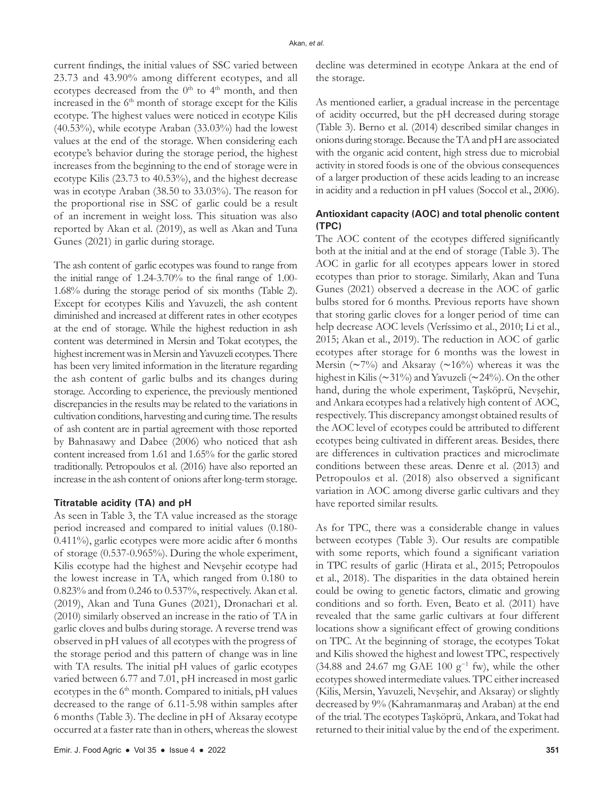current findings, the initial values of SSC varied between 23.73 and 43.90% among different ecotypes, and all ecotypes decreased from the  $0<sup>th</sup>$  to  $4<sup>th</sup>$  month, and then increased in the  $6<sup>th</sup>$  month of storage except for the Kilis ecotype. The highest values were noticed in ecotype Kilis (40.53%), while ecotype Araban (33.03%) had the lowest values at the end of the storage. When considering each ecotype's behavior during the storage period, the highest increases from the beginning to the end of storage were in ecotype Kilis (23.73 to 40.53%), and the highest decrease was in ecotype Araban (38.50 to 33.03%). The reason for the proportional rise in SSC of garlic could be a result of an increment in weight loss. This situation was also reported by Akan et al. (2019), as well as Akan and Tuna Gunes (2021) in garlic during storage.

The ash content of garlic ecotypes was found to range from the initial range of 1.24-3.70% to the final range of 1.00- 1.68% during the storage period of six months (Table 2). Except for ecotypes Kilis and Yavuzeli, the ash content diminished and increased at different rates in other ecotypes at the end of storage. While the highest reduction in ash content was determined in Mersin and Tokat ecotypes, the highest increment was in Mersin and Yavuzeli ecotypes. There has been very limited information in the literature regarding the ash content of garlic bulbs and its changes during storage. According to experience, the previously mentioned discrepancies in the results may be related to the variations in cultivation conditions, harvesting and curing time. The results of ash content are in partial agreement with those reported by Bahnasawy and Dabee (2006) who noticed that ash content increased from 1.61 and 1.65% for the garlic stored traditionally. Petropoulos et al. (2016) have also reported an increase in the ash content of onions after long-term storage.

#### **Titratable acidity (TA) and pH**

As seen in Table 3, the TA value increased as the storage period increased and compared to initial values (0.180- 0.411%), garlic ecotypes were more acidic after 6 months of storage (0.537-0.965%). During the whole experiment, Kilis ecotype had the highest and Nevşehir ecotype had the lowest increase in TA, which ranged from 0.180 to 0.823% and from 0.246 to 0.537%, respectively. Akan et al. (2019), Akan and Tuna Gunes (2021), Dronachari et al. (2010) similarly observed an increase in the ratio of TA in garlic cloves and bulbs during storage. A reverse trend was observed in pH values of all ecotypes with the progress of the storage period and this pattern of change was in line with TA results. The initial pH values of garlic ecotypes varied between 6.77 and 7.01, pH increased in most garlic ecotypes in the  $6<sup>th</sup>$  month. Compared to initials, pH values decreased to the range of 6.11-5.98 within samples after 6 months (Table 3). The decline in pH of Aksaray ecotype occurred at a faster rate than in others, whereas the slowest

decline was determined in ecotype Ankara at the end of the storage.

As mentioned earlier, a gradual increase in the percentage of acidity occurred, but the pH decreased during storage (Table 3). Berno et al. (2014) described similar changes in onions during storage. Because the TA and pH are associated with the organic acid content, high stress due to microbial activity in stored foods is one of the obvious consequences of a larger production of these acids leading to an increase in acidity and a reduction in pH values (Soccol et al., 2006).

### **Antioxidant capacity (AOC) and total phenolic content (TPC)**

The AOC content of the ecotypes differed significantly both at the initial and at the end of storage (Table 3). The AOC in garlic for all ecotypes appears lower in stored ecotypes than prior to storage. Similarly, Akan and Tuna Gunes (2021) observed a decrease in the AOC of garlic bulbs stored for 6 months. Previous reports have shown that storing garlic cloves for a longer period of time can help decrease AOC levels (Veríssimo et al., 2010; Li et al., 2015; Akan et al., 2019). The reduction in AOC of garlic ecotypes after storage for 6 months was the lowest in Mersin (∼7%) and Aksaray (∼16%) whereas it was the highest in Kilis (∼31%) and Yavuzeli (∼24%). On the other hand, during the whole experiment, Taşköprü, Nevşehir, and Ankara ecotypes had a relatively high content of AOC, respectively. This discrepancy amongst obtained results of the AOC level of ecotypes could be attributed to different ecotypes being cultivated in different areas. Besides, there are differences in cultivation practices and microclimate conditions between these areas. Denre et al. (2013) and Petropoulos et al. (2018) also observed a significant variation in AOC among diverse garlic cultivars and they have reported similar results.

As for TPC, there was a considerable change in values between ecotypes (Table 3). Our results are compatible with some reports, which found a significant variation in TPC results of garlic (Hirata et al., 2015; Petropoulos et al., 2018). The disparities in the data obtained herein could be owing to genetic factors, climatic and growing conditions and so forth. Even, Beato et al. (2011) have revealed that the same garlic cultivars at four different locations show a significant effect of growing conditions on TPC. At the beginning of storage, the ecotypes Tokat and Kilis showed the highest and lowest TPC, respectively (34.88 and 24.67 mg GAE 100 g<sup>-1</sup> fw), while the other ecotypes showed intermediate values. TPC either increased (Kilis, Mersin, Yavuzeli, Nevşehir, and Aksaray) or slightly decreased by 9% (Kahramanmaraş and Araban) at the end of the trial. The ecotypes Taşköprü, Ankara, and Tokat had returned to their initial value by the end of the experiment.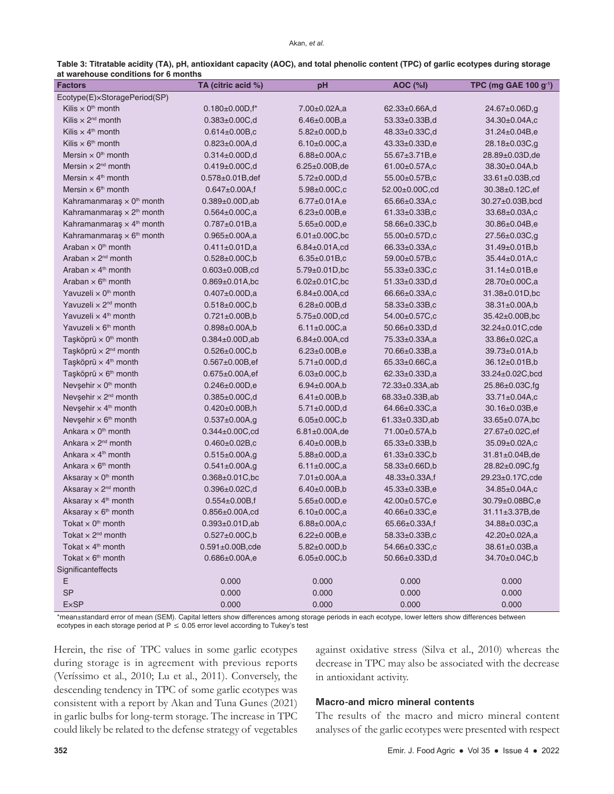| Table 3: Titratable acidity (TA), pH, antioxidant capacity (AOC), and total phenolic content (TPC) of garlic ecotypes during storage |  |  |
|--------------------------------------------------------------------------------------------------------------------------------------|--|--|
| at warehouse conditions for 6 months                                                                                                 |  |  |

| <b>Factors</b>                               | TA (citric acid %)      | pH                             | <b>AOC (%I)</b>         | TPC (mg GAE 100 $g^{-1}$ ) |
|----------------------------------------------|-------------------------|--------------------------------|-------------------------|----------------------------|
| Ecotype(E)×StoragePeriod(SP)                 |                         |                                |                         |                            |
| Kilis $\times$ 0 <sup>th</sup> month         | $0.180\pm0.00D, f^*$    | 7.00±0.02A,a                   | 62.33±0.66A,d           | 24.67±0.06D,g              |
| Kilis $\times$ 2 <sup>nd</sup> month         | $0.383 \pm 0.00 C, d$   | $6.46 \pm 0.00B$ ,a            | 53.33±0.33B,d           | 34.30±0.04A,c              |
| Kilis $\times$ 4 <sup>th</sup> month         | $0.614 \pm 0.00B$ ,c    | $5.82 \pm 0.00D$ ,b            | 48.33±0.33C,d           | 31.24±0.04B,e              |
| Kilis $\times$ 6 <sup>th</sup> month         | $0.823 \pm 0.00$ A,d    | $6.10\pm0.00C$ ,a              | 43.33±0.33D,e           | 28.18±0.03C,g              |
| Mersin $\times$ 0 <sup>th</sup> month        | $0.314 \pm 0.00 D, d$   | $6.88 \pm 0.00$ A,c            | 55.67±3.71B,e           | 28.89±0.03D,de             |
| Mersin $\times$ 2 <sup>nd</sup> month        | $0.419 \pm 0.00 C, d$   | $6.25 \pm 0.00B$ , de          | 61.00±0.57A,c           | $38.30\pm0.04A$ ,b         |
| Mersin $\times$ 4 <sup>th</sup> month        | $0.578 \pm 0.01B$ , def | $5.72 \pm 0.00 D,d$            | 55.00±0.57B,c           | 33.61±0.03B,cd             |
| Mersin $\times$ 6 <sup>th</sup> month        | $0.647 \pm 0.00A$ , f   | $5.98 \pm 0.00 C$ ,c           | 52.00±0.00C,cd          | 30.38±0.12C,ef             |
| Kahramanmaraş $\times$ 0 <sup>th</sup> month | $0.389 \pm 0.00D$ ,ab   | $6.77 \pm 0.01$ A,e            | 65.66±0.33A,c           | 30.27±0.03B,bcd            |
| Kahramanmaraş $\times$ 2 <sup>th</sup> month | $0.564 \pm 0.00C$ ,a    | $6.23 \pm 0.00B, e$            | 61.33±0.33B,c           | $33.68 \pm 0.03$ A,c       |
| Kahramanmaraş × 4 <sup>th</sup> month        | $0.787 \pm 0.01B$ ,a    | $5.65 \pm 0.00D, e$            | 58.66±0.33C,b           | 30.86±0.04B,e              |
| Kahramanmaraş $\times$ 6 <sup>th</sup> month | $0.965 \pm 0.00A$ ,a    | $6.01 \pm 0.00 C$ , bc         | 55.00±0.57D,c           | 27.56±0.03C,g              |
| Araban $\times$ 0 <sup>th</sup> month        | $0.411 \pm 0.01D$ ,a    | $6.84 \pm 0.01$ A,cd           | 66.33±0.33A,c           | 31.49±0.01B,b              |
| Araban $\times$ 2 <sup>nd</sup> month        | $0.528 \pm 0.00 C$ , b  | $6.35 \pm 0.01B$ <sub>,c</sub> | 59.00±0.57B,c           | 35.44±0.01A,c              |
| Araban $\times$ 4 <sup>th</sup> month        | $0.603 \pm 0.00B$ ,cd   | $5.79 \pm 0.01$ D, bc          | 55.33±0.33C,c           | $31.14 \pm 0.01 B$ ,e      |
| Araban $\times$ 6 <sup>th</sup> month        | $0.869 \pm 0.01$ A,bc   | $6.02 \pm 0.01 C$ , bc         | 51.33±0.33D,d           | 28.70±0.00C,a              |
| Yavuzeli $\times$ 0 <sup>th</sup> month      | $0.407 \pm 0.00D$ ,a    | $6.84 \pm 0.00$ A,cd           | 66.66±0.33A,c           | 31.38±0.01D,bc             |
| Yavuzeli x 2 <sup>nd</sup> month             | $0.518 \pm 0.00C$ ,b    | $6.28 \pm 0.00 B, d$           | 58.33±0.33B,c           | 38.31±0.00A,b              |
| Yavuzeli x 4 <sup>th</sup> month             | $0.721 \pm 0.00B$ ,b    | 5.75±0.00D,cd                  | 54.00±0.57C,c           | 35.42±0.00B,bc             |
| Yavuzeli $\times$ 6 <sup>th</sup> month      | $0.898 \pm 0.00A$ ,b    | $6.11 \pm 0.00 C$ ,a           | 50.66±0.33D,d           | 32.24±0.01C,cde            |
| Taşköprü $\times$ 0 <sup>th</sup> month      | $0.384 \pm 0.00D$ ,ab   | $6.84 \pm 0.00$ A,cd           | 75.33±0.33A,a           | 33.86±0.02C,a              |
| Taşköprü × 2 <sup>nd</sup> month             | $0.526 \pm 0.00 C$ ,b   | $6.23 \pm 0.00B, e$            | 70.66±0.33B,a           | 39.73±0.01A,b              |
| Taşköprü × 4 <sup>th</sup> month             | $0.567 \pm 0.00B$ , ef  | $5.71 \pm 0.00 D,d$            | $65.33 \pm 0.66$ C,a    | 36.12±0.01B,b              |
| Taşköprü × 6 <sup>th</sup> month             | $0.675 \pm 0.00A$ , ef  | $6.03 \pm 0.00 C$ , b          | $62.33 \pm 0.33D$ ,a    | 33.24±0.02C,bcd            |
| Nevşehir $\times$ 0 <sup>th</sup> month      | $0.246 \pm 0.00D, e$    | $6.94 \pm 0.00$ A,b            | 72.33±0.33A,ab          | 25.86±0.03C,fg             |
| Nevşehir $\times 2^{nd}$ month               | $0.385 \pm 0.00 C, d$   | $6.41 \pm 0.00 B$ ,b           | $68.33 \pm 0.33 B$ , ab | $33.71 \pm 0.04$ A,c       |
| Nevşehir $\times$ 4 <sup>th</sup> month      | $0.420 \pm 0.00B$ ,h    | $5.71 \pm 0.00 D,d$            | 64.66±0.33C,a           | $30.16 \pm 0.03 B, e$      |
| Nevşehir $\times$ 6 <sup>th</sup> month      | $0.537 \pm 0.00A$ ,g    | $6.05 \pm 0.00 C$ , b          | $61.33 \pm 0.33D$ ,ab   | 33.65±0.07A,bc             |
| Ankara $\times$ 0 <sup>th</sup> month        | $0.344 \pm 0.00 C$ , cd | $6.81 \pm 0.00$ A, de          | 71.00±0.57A,b           | 27.67±0.02C,ef             |
| Ankara $\times$ 2 <sup>nd</sup> month        | $0.460 \pm 0.02B$ ,c    | $6.40 \pm 0.00 B$ ,b           | 65.33±0.33B,b           | 35.09±0.02A,c              |
| Ankara $\times$ 4 <sup>th</sup> month        | $0.515 \pm 0.00$ A,g    | $5.88 \pm 0.00 D, a$           | $61.33 \pm 0.33 C$ , b  | 31.81±0.04B,de             |
| Ankara $\times$ 6 <sup>th</sup> month        | $0.541 \pm 0.00$ A,g    | $6.11 \pm 0.00 C$ , a          | 58.33±0.66D,b           | 28.82±0.09C,fg             |
| Aksaray $\times$ 0 <sup>th</sup> month       | $0.368 \pm 0.01 C$ , bc | $7.01 \pm 0.00$ A,a            | 48.33±0.33A,f           | 29.23±0.17C,cde            |
| Aksaray $\times$ 2 <sup>nd</sup> month       | $0.396 \pm 0.02 C, d$   | $6.40 \pm 0.00B$ ,b            | 45.33±0.33B,e           | 34.85±0.04A,c              |
| Aksaray $\times$ 4 <sup>th</sup> month       | $0.554 \pm 0.00B$ ,f    | $5.65 \pm 0.00$ D,e            | 42.00±0.57C,e           | 30.79±0.08BC,e             |
| Aksaray $\times$ 6 <sup>th</sup> month       | $0.856 \pm 0.00A$ ,cd   | $6.10\pm0.00C$ ,a              | 40.66±0.33C,e           | 31.11±3.37B,de             |
| Tokat $\times$ 0 <sup>th</sup> month         | $0.393 \pm 0.01D$ ,ab   | $6.88 \pm 0.00$ A,c            | $65.66 \pm 0.33$ A,f    | 34.88±0.03C,a              |
| Tokat $\times$ 2 <sup>nd</sup> month         | $0.527 \pm 0.00C$ ,b    | $6.22 \pm 0.00B, e$            | 58.33±0.33B,c           | 42.20±0.02A,a              |
| Tokat $\times$ 4 <sup>th</sup> month         | $0.591 \pm 0.00B, cde$  | $5.82 \pm 0.00D$ ,b            | 54.66±0.33C,c           | $38.61 \pm 0.03 B$ ,a      |
| Tokat $\times$ 6 <sup>th</sup> month         | $0.686 \pm 0.00A.e$     | $6.05 \pm 0.00 C$ , b          | 50.66±0.33D,d           | 34.70±0.04C,b              |
| Significanteffects                           |                         |                                |                         |                            |
| Е                                            | 0.000                   | 0.000                          | 0.000                   | 0.000                      |
| <b>SP</b>                                    | 0.000                   | 0.000                          | 0.000                   | 0.000                      |
| <b>ExSP</b>                                  | 0.000                   | 0.000                          | 0.000                   | 0.000                      |

\*mean±standard error of mean (SEM). Capital letters show differences among storage periods in each ecotype, lower letters show differences between ecotypes in each storage period at  $P \le 0.05$  error level according to Tukey's test

Herein, the rise of TPC values in some garlic ecotypes during storage is in agreement with previous reports (Veríssimo et al., 2010; Lu et al., 2011). Conversely, the descending tendency in TPC of some garlic ecotypes was consistent with a report by Akan and Tuna Gunes (2021) in garlic bulbs for long-term storage. The increase in TPC could likely be related to the defense strategy of vegetables against oxidative stress (Silva et al., 2010) whereas the decrease in TPC may also be associated with the decrease in antioxidant activity.

#### **Macro-and micro mineral contents**

The results of the macro and micro mineral content analyses of the garlic ecotypes were presented with respect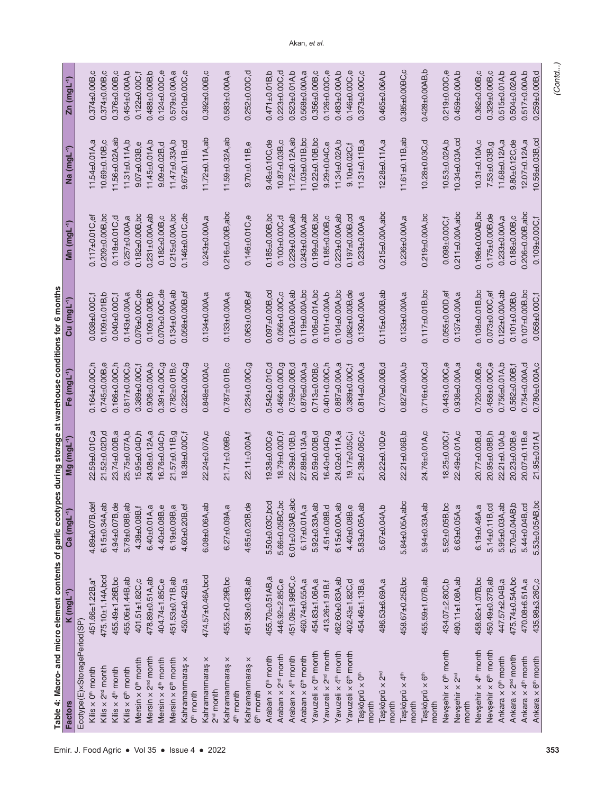| Table 4: Macro- and micro element contents of garlic ecotypes during storage at warehouse conditions for 6 months |                        |                         |                         |                         |                        |                         |                         |                         |
|-------------------------------------------------------------------------------------------------------------------|------------------------|-------------------------|-------------------------|-------------------------|------------------------|-------------------------|-------------------------|-------------------------|
| <b>Factors</b>                                                                                                    | K (mgL <sup>-1</sup> ) | Ca (mgL-1)              | Mg (mgL <sup>-1</sup> ) | Fe (mgL <sup>-1</sup> ) | Cu (mgL-1)             | Mn (mgL <sup>-1</sup> ) | Na (mgL <sup>-1</sup> ) | Zn (mgL <sup>-1</sup> ) |
| Ecotype(E)xStoragePeriod(SP)                                                                                      |                        |                         |                         |                         |                        |                         |                         |                         |
| Kilis $\times$ 0 <sup>th</sup> month                                                                              | 451.66±1.22B,a*        | $4.89 + 0.07B$ , def    | 22.59±0.01C,a           | $0.164 + 0.00C, h$      | 0.038±0.00C.f          | $0.117 \pm 0.01$ C,ef   | $11.54 \pm 0.01$ A, a   | $0.374 + 0.00B$ , $c$   |
| Kilis $\times$ 2 <sup>nd</sup> month                                                                              | 475.10±1.14A,bcd       | $6.15 \pm 0.34$ A, ab   | 21.52±0.02D,d           | $0.745 \pm 0.00B$ ,e    | $0.109 + 0.01B$ ,b     | $0.209 + 0.00B$ , bc    | 10.69±0.10B,c           | $0.374 + 0.00B$ , $c$   |
| Kilis $\times$ 4 <sup>th</sup> month                                                                              | 455.49±1.26B,bc        | $4.94 + 0.07B$ , de     | 23.74±0.00B,a           | $0.166 + 0.00C$ , h     | $0.040 + 0.00C,$       | $0.118 + 0.01C$ , d     | 11.56±0.02A,ab          | $0.376 + 0.00B$ , $c$   |
| Kilis $\times$ 6 <sup>th</sup> month                                                                              | 455.06±1.44B,ab        | $5.78 + 0.08B$ , ab     | 25.75±0.07A,b           | $0.817\pm0.00C$ , b     | $0.143 \pm 0.00$ A,a   | $0.257 \pm 0.00$ A,a    | $11.31 \pm 0.11$ A, b   | $0.454 + 0.00A$ , b     |
| Mersin x 0 <sup>th</sup> month                                                                                    | 401.51±1.82C,c         | $4.38 + 0.08B, f$       | 15.95±0.04D,h           | $0.389 + 0.00C$ ,       | $0.076 + 0.00C$ , de   | $0.182 + 0.00B$ , bc    | $9.07 + 0.03B, e$       | $0.122 \pm 0.00C, f$    |
| Mersin x 2 <sup>nd</sup> month                                                                                    | 478.89±0.51A,ab        | $6.40 + 0.01$ A,a       | 24.08±0.12A,a           | $0.908 + 0.00A$ ,b      | $0.109 + 0.00B$ , b    | $0.231 \pm 0.00A$ , ab  | $11.45 \pm 0.01$ A, b   | $0.488 + 0.00B$ , b     |
| Mersin x 4 <sup>th</sup> month                                                                                    | 404.74±1.85C,e         | $4.40 + 0.08B, e$       | 16.76±0.04C,h           | $0.391 + 0.00C, g$      | $0.070 + 0.00C$ , de   | $0.182 + 0.00B$ , $c$   | $9.09 + 0.02B$ , d      | $0.124 \pm 0.00C$ ,e    |
| Mersin x 6 <sup>th</sup> month                                                                                    | 451.53±0.71B,ab        | $6.19 + 0.09B$ ,a       | $21.57 + 0.11B$ , g     | $0.782 + 0.01B$ , C     | $0.134 \pm 0.00$ A, ab | $0.215 \pm 0.00$ A,bc   | $11.47 + 0.33$ A,b      | $0.579 \pm 0.00$ A,a    |
| Kahramanmaraş x<br>O <sup>th</sup> month                                                                          | 450.64±0.42B,a         | $4.60 + 0.20B,$ ef      | 18.38±0.00C,f           | 0.232±0.00C,g           | $0.058 + 0.00B,$ ef    | $0.146 \pm 0.01 C$ , de | $9.67 + 0.11B$ , cd     | $0.210 + 0.00C$ ,e      |
| Kahramanmaraş x<br>2 <sup>nd</sup> month                                                                          | 474.57±0.46A,bcd       | $6.08 + 0.06A$ , ab     | 22.24±0.07A,c           | $0.848 + 0.00A$ , $c$   | $0.134 + 0.00A$ ,a     | $0.243 + 0.00A$ ,a      | $11.72 \pm 0.11$ A,ab   | $0.392 + 0.00B$ , C     |
| Kahramanmaraş x<br>4 <sup>th</sup> month                                                                          | 455.22±0.29B,bc        | $6.27 \pm 0.09$ A,a     | 21.71±0.09B,c           | $0.787 + 0.01B$ , C     | $0.133 + 0.00A$ ,a     | $0.216 \pm 0.00$ B,abc  | 11.59±0.32A,ab          | $0.583 + 0.00A$ ,a      |
| Kahramanmaraş x<br>6 <sup>th</sup> month                                                                          | 451.38±0.43B,ab        | $4.65 \pm 0.20B$ , de   | 22.11±0.00A,f           | 0.234±0.00C,g           | $0.063 + 0.00B,$ ef    | $0.146 + 0.01C$ ,e      | $9.70 + 0.11B$ ,e       | $0.252 + 0.00C$ ,d      |
| Araban x 0 <sup>th</sup> month                                                                                    | 455.70±0.51AB,a        | 5.50±0.03C,bcd          | $9.38 + 0.00C$ ,e       | $0.542 \pm 0.01$ C,d    | $0.097 + 0.00B$ , cd   | $0.185 \pm 0.00B$ , bc  | $9.48 + 0.10C$ , de     | $0.471 + 0.01B$ ,b      |
| Araban x 2 <sup>nd</sup> month                                                                                    | 446.92±2.85C,e         | 5.66±0.05BC, bc         | 18.79±0.00D.f           | 0.456±0.00D,g           | $0.056 + 0.00C$ , $c$  | $0.100 + 0.00C$ , d     | 10.87±0.03B,c           | $0.223 + 0.00C$ , d     |
| Araban x 4 <sup>th</sup> month                                                                                    | 451.09±1.99BC,c        | $6.01 \pm 0.03$ AB, abc | 22.39±0.10B,b           | $0.759 + 0.00B$ , d     | $0.120 + 0.00$ A, ab   | $0.229 + 0.00A$ , ab    | $11.72 \pm 0.12$ A, ab  | $0.523 \pm 0.01$ A, b   |
| Araban x 6 <sup>th</sup> month                                                                                    | 460.74±0.55A,a         | $6.17 \pm 0.01$ A,a     | 27.88±0.13A,a           | $0.876 \pm 0.00$ A,a    | $0.119 + 0.00A$ , bc   | $0.243 \pm 0.00$ A,ab   | 11.03±0.01B,bc          | $0.568 + 0.00A$ ,a      |
| Yavuzeli x 0 <sup>th</sup> month                                                                                  | 454.83±1.06A,a         | $5.92 \pm 0.33$ A, ab   | 20.59±0.00B,d           | $0.713 + 0.00B$ , $c$   | $0.106 + 0.01$ A,bc    | $0.199 + 0.00B$ , bc    | $10.22 \pm 0.10 B$ , bc | $0.356 + 0.00B$ , $c$   |
| Yavuzeli x 2 <sup>nd</sup> month                                                                                  | 413.26±1.91B,f         | $4.51 \pm 0.08$ B, d    | 16.40±0.04D,g           | $0.401 + 0.00C, h$      | $0.101 + 0.00A$ , b    | $0.185 + 0.00B$ , $c$   | $9.29 + 0.04C$ ,e       | $0.126 + 0.00C$ ,e      |
| Yavuzeli x 4 <sup>th</sup> month                                                                                  | 462.60±0.83A,ab        | $6.15 \pm 0.00$ A, ab   | 24.02±0.11A,a           | $0.887 + 0.00$ A,a      | $0.104 + 0.00A$ , bc   | $0.223 \pm 0.00$ A, ab  | $11.34 \pm 0.02$ A, b   | $0.483 + 0.00A$ , b     |
| Yavuzeli x 6 <sup>th</sup> month                                                                                  | 402.43±1.82C,d         | $4.40 + 0.08B, e$       | 19.17±0.05C,            | $0.389 + 0.00C, f$      | $0.082 + 0.00B$ , de   | $0.197 + 0.00B$ , cd    | $9.10 + 0.02C, f$       | $0.146 \pm 0.00 C, e$   |
| Taşköprü x O <sup>th</sup><br>month                                                                               | 454.46±1.13B,a         | 5.83±0.05A,ab           | 21.38±0.06C,c           | $0.814 \pm 0.00$ A,a    | $0.130 + 0.00A$ ,a     | $0.233 + 0.00A$ ,a      | $11.31 + 0.11B$ ,a      | $0.373 + 0.00C$ , c     |
| Taşköprü x 2 <sup>nd</sup><br>month                                                                               | 486.53±6.69A,a         | $5.67 + 0.04A$ ,b       | 20.22±0.10D,e           | $0.770 + 0.00$ B,d      | $0.115 \pm 0.00B$ , ab | $0.215 \pm 0.00$ A,abc  | $12.28 + 0.11A$ , a     | $0.465 + 0.06A$ ,b      |
| Taşköprü x 4th<br>month                                                                                           | 458.67±0.25B,bc        | 5.84±0.05A,abc          | 22.21±0.06B,b           | $0.827 \pm 0.00$ A,b    | $0.133 + 0.00A$ ,a     | $0.236 + 0.00A$ ,a      | $11.61 \pm 0.11B$ ,ab   | 0.385±0.00BC,c          |
| Taşköprü x 6 <sup>th</sup><br>month                                                                               | 455.59±1.07B,ab        | $5.94 \pm 0.33$ A, ab   | 24.76±0.01A,c           | $0.716 + 0.00C$ , d     | $0.117 \pm 0.01B$ , bc | $0.219 + 0.00A$ , bc    | $10.28 + 0.03C$ , d     | $0.428 + 0.00AB$ , b    |
| Nevşehir x 0 <sup>th</sup> month                                                                                  | 434.07±2.80C,b         | $5.52 \pm 0.05B$ , bc   | 18.25±0.00C.f           | $0.443 + 0.00C$ ,e      | $0.055 + 0.00D,$ ef    | $0.098 + 0.00C, f$      | 10.53±0.02A,b           | $0.219 + 0.00C$ ,e      |
| Nevşehir x 2nd<br>month                                                                                           | 480.11±1.08A,ab        | $6.63 \pm 0.05$ A,a     | 22.49±0.01A,c           | $0.938 + 0.00A$ ,a      | $0.137 + 0.00A$ ,a     | $0.211 \pm 0.00A$ , abc | 10.34±0.03A,cd          | $0.459 + 0.00A$ , b     |
| Nevşehir x 4 <sup>th</sup> month                                                                                  | 458.82±1.07B,bc        | $6.19 + 0.46A$ ,a       | 20.77±0.00B,d           | $0.720 + 0.00B$ ,e      | $0.108 + 0.01B$ , bc   | $0.198 + 0.00AB$ , bc   | 10.31±0.10A,c           | $0.362 + 0.00B$ , $c$   |
| Nevşehir x 6 <sup>th</sup> month                                                                                  | 450.49±0.37B,ab        | $5.14 \pm 0.11B$ , cd   | 20.95±0.08B,h           | $0.458 + 0.00C$ ,e      | $0.073 + 0.00C$ , ef   | $0.175 \pm 0.00B$ , de  | 7.53±0.03B,g            | $0.329 + 0.00B$ , $c$   |
| Ankara x 0 <sup>th</sup> month                                                                                    | 447.57±2.04B,a         | $5.95 \pm 0.03$ A, ab   | 22.21±0.10A,b           | $0.756 + 0.01A$ ,b      | $0.122 \pm 0.00$ A, ab | $0.233 + 0.00A$ ,a      | 11.68±0.12A,a           | 0.515±0.01A,b           |
| Ankara x 2 <sup>nd</sup> month                                                                                    | 475.74±0.54A,bc        | $5.70 + 0.04AB$ , b     | 20.23±0.00B,e           | $0.562 + 0.00B$ ,       | $0.101 + 0.00B$ ,b     | $0.188 + 0.00B$ , $c$   | $9.80 + 0.12C$ , de     | $0.504 + 0.02$ A,b      |
| Ankara x 4 <sup>th</sup> month                                                                                    | 470.08±6.51A,a         | $5.44 \pm 0.04 B$ , cd  | $20.07 + 0.11B$ ,e      | $0.754 + 0.00A$ , d     | $0.107 + 0.00B$ , bc   | $0.206 \pm 0.00 B, abc$ | $12.07 + 0.12$ A,a      | $0.517 + 0.00A$ ,b      |
| Ankara x 6 <sup>th</sup> month                                                                                    | 435.98±3.26C,c         | 5.53±0.05AB,bc          | 21.95±0.01A,f           | $0.780 + 0.00A$ , c     | 0.058±0.00C,f          | $0.109 + 0.00C, f$      | $10.56 \pm 0.03 B$ , cd | $0.259 + 0.00B$ , d     |

*(Contd...)*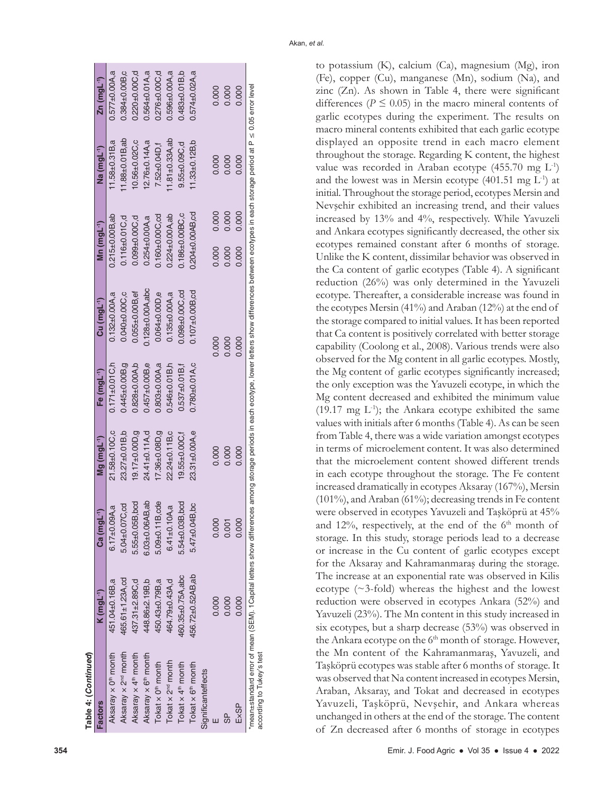| Table 4: (Continued)                                                                                                                                                                                                            |                        |                         |                         |                         |                         |                       |                         |                         |
|---------------------------------------------------------------------------------------------------------------------------------------------------------------------------------------------------------------------------------|------------------------|-------------------------|-------------------------|-------------------------|-------------------------|-----------------------|-------------------------|-------------------------|
| <b>Factors</b>                                                                                                                                                                                                                  | K (mgL <sup>-1</sup> ) | Ca (mgL <sup>-1</sup>   | Mg (mgL <sup>-1</sup> ) | Fe (mgL <sup>-1</sup> ) | Cu (mgL <sup>-1</sup> ) | Mn $(mgl^{-1})$       | Na (mgL <sup>-1</sup> ) | Zn (mgL <sup>-1</sup> ) |
| Aksaray x 0 <sup>th</sup> month                                                                                                                                                                                                 | 451.04±0.16B,a         | σ<br>$6.17 + 0.09A$     | 21.58±0.10C,c           | $0.171 \pm 0.01C$ , h   | $0.132 \pm 0.00$ A,a    | $0.215 \pm 0.00B$ ,ab | $11.58 + 0.31B$ ,a      | $0.577 \pm 0.00$ A,a    |
| Aksaray x 2 <sup>nd</sup> month                                                                                                                                                                                                 | 465.61±1.23A,cd        | 5.04±0.07C,cd           | 23.27±0.01B,b           | $0.445 + 0.00B$ , q     | $0.040 + 0.00C$ , c     | $0.116 + 0.01C$ , d   | $1.88 + 0.01B$ , ab     | $0.384 + 0.00B$ , $c$   |
| Aksaray x 4 <sup>th</sup> month                                                                                                                                                                                                 | 437.31±2.89C,d         | 5.55±0.05B,bcd          | 19.17±0.00D,g           | $0.828 + 0.00A$ , b     | $0.055 \pm 0.00B,$ ef   | 0.099±0.00C,d         | 10.56±0.02C,c           | $0.220 + 0.00C$ , d     |
| Aksaray x 6 <sup>th</sup> month                                                                                                                                                                                                 | 448.86±2.19B,b         | de.<br>$6.03 + 0.06AB$  | $24.41 \pm 0.11$ A,d    | $0.457 + 0.00B$ ,e      | $0.128 \pm 0.00$ A, abc | $0.254 \pm 0.00$ A,a  | 12.76±0.14A,a           | $0.564 \pm 0.01$ A,a    |
| Tokat x 0 <sup>th</sup> month                                                                                                                                                                                                   | 450.43±0.79B,a         | $5.09 + 0.11B$ , cde    | 17.36±0.08D,g           | $0.803 \pm 0.00$ A,a    | $0.064 \pm 0.00D, e$    | $0.160 + 0.00C$ , cd  | 7.52±0.04D,f            | $0.276 + 0.00C$ , d     |
| Tokat x 2 <sup>nd</sup> month                                                                                                                                                                                                   | 464.79±0.43A,d         | ιά<br>$6.41 \pm 0.10$ A | 22.24±0.11B,c           | $0.546 + 0.01B$ , h     | $0.135 \pm 0.00$ A,a    | $0.224 \pm 0.00$ A,ab | $1.81 \pm 0.33$ A, ab   | $0.596 + 0.00A$ ,a      |
| Tokat x 4 <sup>th</sup> month                                                                                                                                                                                                   | 460.35±0.75A,abc       | 5.54±0.03B,bcd          | 19.55±0.00C.f           | $0.537 + 0.01B$ ,       | $0.098 + 0.00C$ , cd    | $0.186 + 0.00$ BC.c   | $9.55 \pm 0.09C$ , d    | $0.483 + 0.01B$ , b     |
| Tokat x 6 <sup>th</sup> month                                                                                                                                                                                                   | 456.72±0.52AB.ab       | $5.47 + 0.04B$ , bc     | 23.31±0.00A,e           | $0.780 + 0.01A$ ,c      | $0.107 \pm 0.00$ B,cd   | $0.204 + 0.00AB$ , cd | 11.33±0.12B.b           | $0.574 \pm 0.02$ A,a    |
| Significanteffects                                                                                                                                                                                                              |                        |                         |                         |                         |                         |                       |                         |                         |
|                                                                                                                                                                                                                                 | 0.000                  | 0.000                   | 0.000                   |                         | 0.000                   | 0.000<br>0.000        | 0.000                   | 0.000                   |
| 99                                                                                                                                                                                                                              | 0.000                  | 0.001                   | 0.000                   |                         | 0.000                   | 0.000<br>0.000        | 0.000                   | 0.000                   |
| Ex <sub>SP</sub>                                                                                                                                                                                                                | 0.000                  | 0.000                   | 0.000                   |                         | 0.000                   | 0.000<br>0.000        | 0.000                   | 0.000                   |
| *mean±standard error of mean (SEM). 1Capital letters show differences among storage periods in each power letters show differences between ecotypes in each storage period at P ≤ 0.05 error level<br>according to Tukey's test |                        |                         |                         |                         |                         |                       |                         |                         |

according to Tukey's test

to potassium (K), calcium (Ca), magnesium (Mg), iron (Fe), copper (Cu), manganese (Mn), sodium (Na), and zinc (Zn). As shown in Table 4, there were significant differences ( $P \le 0.05$ ) in the macro mineral contents of garlic ecotypes during the experiment. The results on macro mineral contents exhibited that each garlic ecotype displayed an opposite trend in each macro element throughout the storage. Regarding K content, the highest value was recorded in Araban ecotype  $(455.70 \text{ mg } L^{-1})$ and the lowest was in Mersin ecotype  $(401.51 \text{ mg } L^{-1})$  at initial. Throughout the storage period, ecotypes Mersin and Nevşehir exhibited an increasing trend, and their values increased by 13% and 4%, respectively. While Yavuzeli and Ankara ecotypes significantly decreased, the other six ecotypes remained constant after 6 months of storage. Unlike the K content, dissimilar behavior was observed in the Ca content of garlic ecotypes (Table 4). A significant reduction (26%) was only determined in the Yavuzeli ecotype. Thereafter, a considerable increase was found in the ecotypes Mersin (41%) and Araban (12%) at the end of the storage compared to initial values. It has been reported that Ca content is positively correlated with better storage capability (Coolong et al., 2008). Various trends were also observed for the Mg content in all garlic ecotypes. Mostly, the Mg content of garlic ecotypes significantly increased; the only exception was the Yavuzeli ecotype, in which the Mg content decreased and exhibited the minimum value (19.17 mg  $L^{-1}$ ); the Ankara ecotype exhibited the same values with initials after 6 months (Table 4). As can be seen from Table 4, there was a wide variation amongst ecotypes in terms of microelement content. It was also determined that the microelement content showed different trends in each ecotype throughout the storage. The Fe content increased dramatically in ecotypes Aksaray (167%), Mersin (101%), and Araban (61%); decreasing trends in Fe content were observed in ecotypes Yavuzeli and Taşköprü at 45% and 12%, respectively, at the end of the  $6<sup>th</sup>$  month of storage. In this study, storage periods lead to a decrease or increase in the Cu content of garlic ecotypes except for the Aksaray and Kahramanmaraş during the storage. The increase at an exponential rate was observed in Kilis ecotype (~3-fold) whereas the highest and the lowest reduction were observed in ecotypes Ankara (52%) and Yavuzeli (23%). The Mn content in this study increased in six ecotypes, but a sharp decrease (53%) was observed in the Ankara ecotype on the  $6<sup>th</sup>$  month of storage. However, the Mn content of the Kahramanmaraş, Yavuzeli, and Taşköprü ecotypes was stable after 6 months of storage. It was observed that Na content increased in ecotypes Mersin, Araban, Aksaray, and Tokat and decreased in ecotypes Yavuzeli, Taşköprü, Nevşehir, and Ankara whereas unchanged in others at the end of the storage. The content of Zn decreased after 6 months of storage in ecotypes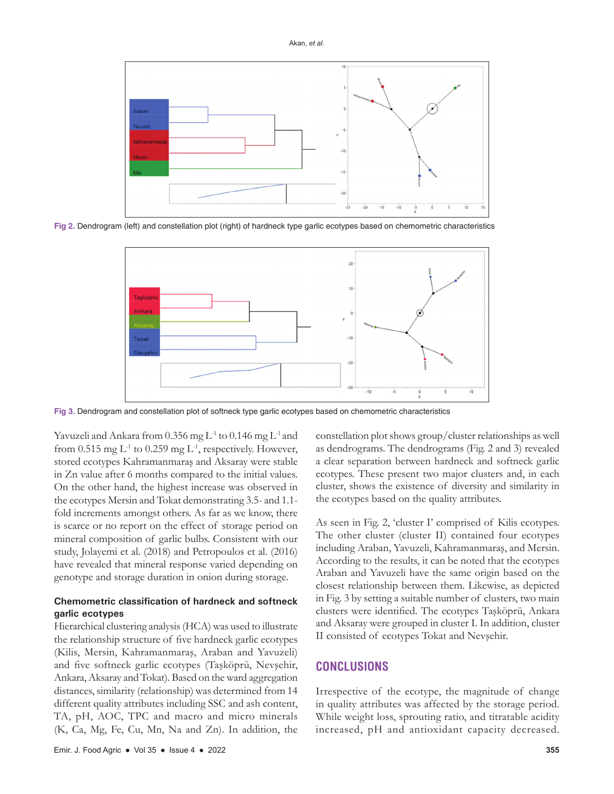

**Fig 2.** Dendrogram (left) and constellation plot (right) of hardneck type garlic ecotypes based on chemometric characteristics



**Fig 3.** Dendrogram and constellation plot of softneck type garlic ecotypes based on chemometric characteristics

Yavuzeli and Ankara from 0.356 mg L<sup>-1</sup> to 0.146 mg L<sup>-1</sup> and from 0.515 mg  $L^{-1}$  to 0.259 mg  $L^{-1}$ , respectively. However, stored ecotypes Kahramanmaraş and Aksaray were stable in Zn value after 6 months compared to the initial values. On the other hand, the highest increase was observed in the ecotypes Mersin and Tokat demonstrating 3.5- and 1.1 fold increments amongst others. As far as we know, there is scarce or no report on the effect of storage period on mineral composition of garlic bulbs. Consistent with our study, Jolayemi et al. (2018) and Petropoulos et al. (2016) have revealed that mineral response varied depending on genotype and storage duration in onion during storage.

# **Chemometric classification of hardneck and softneck garlic ecotypes**

Hierarchical clustering analysis (HCA) was used to illustrate the relationship structure of five hardneck garlic ecotypes (Kilis, Mersin, Kahramanmaraş, Araban and Yavuzeli) and five softneck garlic ecotypes (Taşköprü, Nevşehir, Ankara, Aksaray and Tokat). Based on the ward aggregation distances, similarity (relationship) was determined from 14 different quality attributes including SSC and ash content, TA, pH, AOC, TPC and macro and micro minerals (K, Ca, Mg, Fe, Cu, Mn, Na and Zn). In addition, the

Emir. J. Food Agric ● Vol 35 ● Issue 4 ● 2022 **355**

constellation plot shows group/cluster relationships as well as dendrograms. The dendrograms (Fig. 2 and 3) revealed a clear separation between hardneck and softneck garlic ecotypes. These present two major clusters and, in each cluster, shows the existence of diversity and similarity in the ecotypes based on the quality attributes.

As seen in Fig. 2, 'cluster I' comprised of Kilis ecotypes. The other cluster (cluster II) contained four ecotypes including Araban, Yavuzeli, Kahramanmaraş, and Mersin. According to the results, it can be noted that the ecotypes Araban and Yavuzeli have the same origin based on the closest relationship between them. Likewise, as depicted in Fig. 3 by setting a suitable number of clusters, two main clusters were identified. The ecotypes Taşköprü, Ankara and Aksaray were grouped in cluster I. In addition, cluster II consisted of ecotypes Tokat and Nevşehir.

# **CONCLUSIONS**

Irrespective of the ecotype, the magnitude of change in quality attributes was affected by the storage period. While weight loss, sprouting ratio, and titratable acidity increased, pH and antioxidant capacity decreased.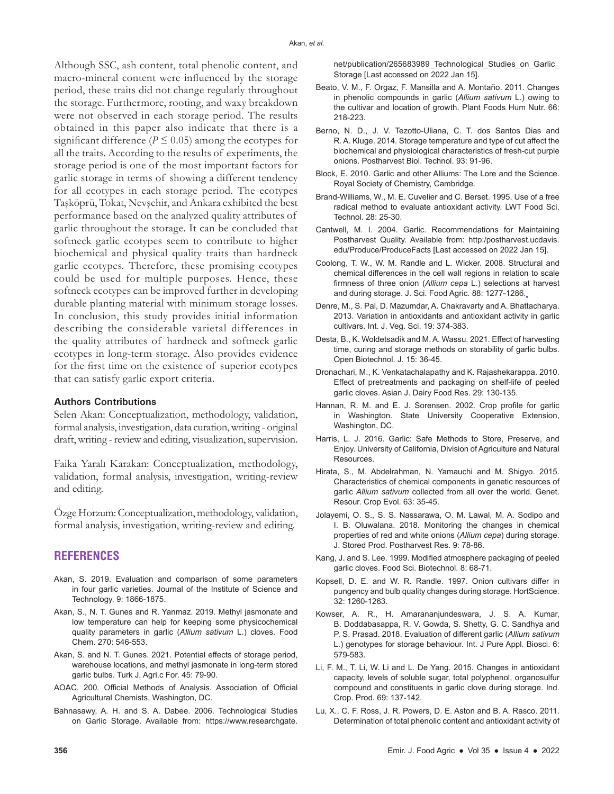Although SSC, ash content, total phenolic content, and macro-mineral content were influenced by the storage period, these traits did not change regularly throughout the storage. Furthermore, rooting, and waxy breakdown were not observed in each storage period. The results obtained in this paper also indicate that there is a significant difference ( $P \le 0.05$ ) among the ecotypes for all the traits. According to the results of experiments, the storage period is one of the most important factors for garlic storage in terms of showing a different tendency for all ecotypes in each storage period. The ecotypes Taşköprü, Tokat, Nevşehir, and Ankara exhibited the best performance based on the analyzed quality attributes of garlic throughout the storage. It can be concluded that softneck garlic ecotypes seem to contribute to higher biochemical and physical quality traits than hardneck garlic ecotypes. Therefore, these promising ecotypes could be used for multiple purposes. Hence, these softneck ecotypes can be improved further in developing durable planting material with minimum storage losses. In conclusion, this study provides initial information describing the considerable varietal differences in the quality attributes of hardneck and softneck garlic ecotypes in long-term storage. Also provides evidence for the first time on the existence of superior ecotypes that can satisfy garlic export criteria.

#### **Authors Contributions**

Selen Akan: Conceptualization, methodology, validation, formal analysis, investigation, data curation, writing - original draft, writing - review and editing, visualization, supervision.

Faika Yaralı Karakan: Conceptualization, methodology, validation, formal analysis, investigation, writing-review and editing.

Özge Horzum: Conceptualization, methodology, validation, formal analysis, investigation, writing-review and editing.

## **REFERENCES**

- Akan, S. 2019. Evaluation and comparison of some parameters in four garlic varieties. Journal of the Institute of Science and Technology. 9: 1866-1875.
- Akan, S., N. T. Gunes and R. Yanmaz. 2019. Methyl jasmonate and low temperature can help for keeping some physicochemical quality parameters in garlic (*Allium sativum* L.) cloves. Food Chem. 270: 546-553.
- Akan, S. and N. T. Gunes. 2021. Potential effects of storage period, warehouse locations, and methyl jasmonate in long-term stored garlic bulbs. Turk J. Agri.c For. 45: 79-90.
- AOAC. 200. Official Methods of Analysis. Association of Official Agricultural Chemists, Washington, DC.
- Bahnasawy, A. H. and S. A. Dabee. 2006. Technological Studies on Garlic Storage. Available from: https://www.researchgate.

net/publication/265683989\_Technological\_Studies\_on\_Garlic Storage [Last accessed on 2022 Jan 15].

- Beato, V. M., F. Orgaz, F. Mansilla and A. Montaño. 2011. Changes in phenolic compounds in garlic (*Allium sativum* L.) owing to the cultivar and location of growth. Plant Foods Hum Nutr. 66: 218-223.
- Berno, N. D., J. V. Tezotto-Uliana, C. T. dos Santos Dias and R. A. Kluge. 2014. Storage temperature and type of cut affect the biochemical and physiological characteristics of fresh-cut purple onions. Postharvest Biol. Technol. 93: 91-96.
- Block, E. 2010. Garlic and other Alliums: The Lore and the Science. Royal Society of Chemistry, Cambridge.
- Brand-Williams, W., M. E. Cuvelier and C. Berset. 1995. Use of a free radical method to evaluate antioxidant activity. LWT Food Sci. Technol. 28: 25-30.
- Cantwell, M. I. 2004. Garlic. Recommendations for Maintaining Postharvest Quality. Available from: http:/postharvest.ucdavis. edu/Produce/ProduceFacts [Last accessed on 2022 Jan 15].
- Coolong, T. W., W. M. Randle and L. Wicker. 2008. Structural and chemical differences in the cell wall regions in relation to scale firmness of three onion (*Allium cepa* L.) selections at harvest and during storage. J. Sci. Food Agric. 88: 1277-1286.
- Denre, M., S. Pal, D. Mazumdar, A. Chakravarty and A. Bhattacharya. 2013. Variation in antioxidants and antioxidant activity in garlic cultivars. Int. J. Veg. Sci. 19: 374-383.
- Desta, B., K. Woldetsadik and M. A. Wassu. 2021. Effect of harvesting time, curing and storage methods on storability of garlic bulbs. Open Biotechnol. J. 15: 36-45.
- Dronachari, M., K. Venkatachalapathy and K. Rajashekarappa. 2010. Effect of pretreatments and packaging on shelf-life of peeled garlic cloves. Asian J. Dairy Food Res. 29: 130-135.
- Hannan, R. M. and E. J. Sorensen. 2002. Crop profile for garlic in Washington. State University Cooperative Extension, Washington, DC.
- Harris, L. J. 2016. Garlic: Safe Methods to Store, Preserve, and Enjoy. University of California, Division of Agriculture and Natural Resources.
- Hirata, S., M. Abdelrahman, N. Yamauchi and M. Shigyo. 2015. Characteristics of chemical components in genetic resources of garlic *Allium sativum* collected from all over the world. Genet. Resour. Crop Evol. 63: 35-45.
- Jolayemi, O. S., S. S. Nassarawa, O. M. Lawal, M. A. Sodipo and I. B. Oluwalana. 2018. Monitoring the changes in chemical properties of red and white onions (*Allium cepa*) during storage. J. Stored Prod. Postharvest Res. 9: 78-86.
- Kang, J. and S. Lee. 1999. Modified atmosphere packaging of peeled garlic cloves. Food Sci. Biotechnol. 8: 68-71.
- Kopsell, D. E. and W. R. Randle. 1997. Onion cultivars differ in pungency and bulb quality changes during storage. HortScience. 32: 1260-1263.
- Kowser, A. R., H. Amarananjundeswara, J. S. A. Kumar, B. Doddabasappa, R. V. Gowda, S. Shetty, G. C. Sandhya and P. S. Prasad. 2018. Evaluation of different garlic (*Allium sativum*  L.) genotypes for storage behaviour. Int. J Pure Appl. Biosci. 6: 579-583.
- Li, F. M., T. Li, W. Li and L. De Yang. 2015. Changes in antioxidant capacity, levels of soluble sugar, total polyphenol, organosulfur compound and constituents in garlic clove during storage. Ind. Crop. Prod. 69: 137-142.
- Lu, X., C. F. Ross, J. R. Powers, D. E. Aston and B. A. Rasco. 2011. Determination of total phenolic content and antioxidant activity of